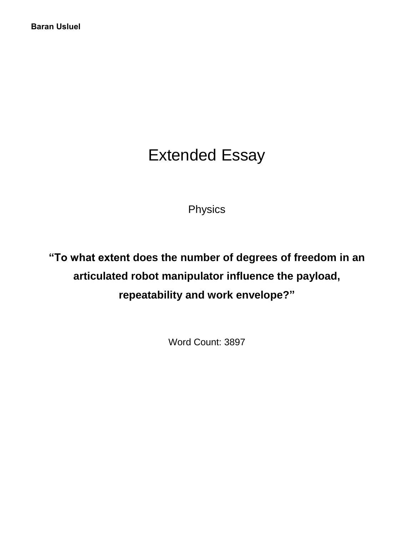# Extended Essay

Physics

**"To what extent does the number of degrees of freedom in an articulated robot manipulator influence the payload, repeatability and work envelope?"**

Word Count: 3897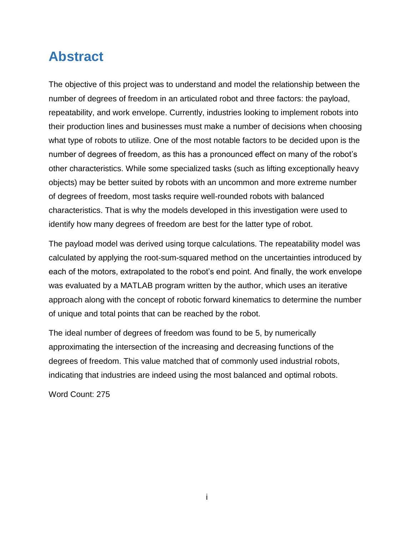## <span id="page-1-0"></span>**Abstract**

The objective of this project was to understand and model the relationship between the number of degrees of freedom in an articulated robot and three factors: the payload, repeatability, and work envelope. Currently, industries looking to implement robots into their production lines and businesses must make a number of decisions when choosing what type of robots to utilize. One of the most notable factors to be decided upon is the number of degrees of freedom, as this has a pronounced effect on many of the robot's other characteristics. While some specialized tasks (such as lifting exceptionally heavy objects) may be better suited by robots with an uncommon and more extreme number of degrees of freedom, most tasks require well-rounded robots with balanced characteristics. That is why the models developed in this investigation were used to identify how many degrees of freedom are best for the latter type of robot.

The payload model was derived using torque calculations. The repeatability model was calculated by applying the root-sum-squared method on the uncertainties introduced by each of the motors, extrapolated to the robot's end point. And finally, the work envelope was evaluated by a MATLAB program written by the author, which uses an iterative approach along with the concept of robotic forward kinematics to determine the number of unique and total points that can be reached by the robot.

The ideal number of degrees of freedom was found to be 5, by numerically approximating the intersection of the increasing and decreasing functions of the degrees of freedom. This value matched that of commonly used industrial robots, indicating that industries are indeed using the most balanced and optimal robots.

Word Count: 275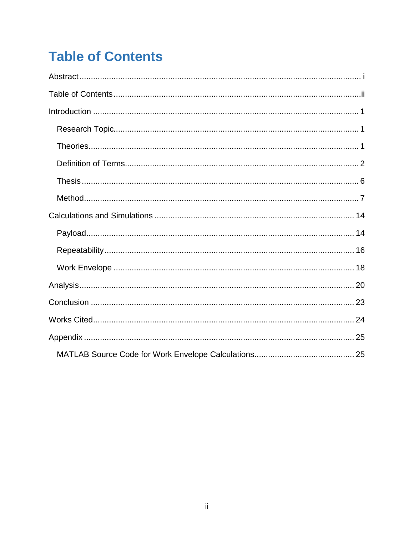# <span id="page-2-0"></span>**Table of Contents**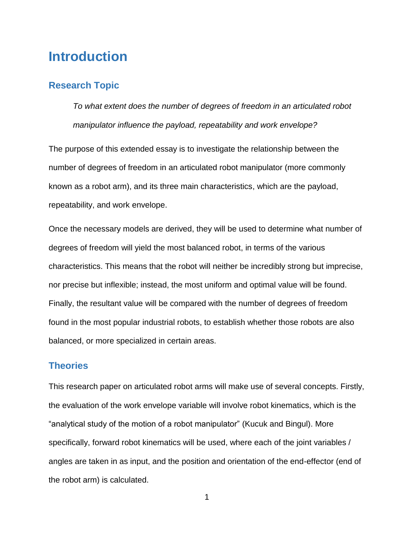## <span id="page-3-0"></span>**Introduction**

## <span id="page-3-1"></span>**Research Topic**

*To what extent does the number of degrees of freedom in an articulated robot manipulator influence the payload, repeatability and work envelope?*

The purpose of this extended essay is to investigate the relationship between the number of degrees of freedom in an articulated robot manipulator (more commonly known as a robot arm), and its three main characteristics, which are the payload, repeatability, and work envelope.

Once the necessary models are derived, they will be used to determine what number of degrees of freedom will yield the most balanced robot, in terms of the various characteristics. This means that the robot will neither be incredibly strong but imprecise, nor precise but inflexible; instead, the most uniform and optimal value will be found. Finally, the resultant value will be compared with the number of degrees of freedom found in the most popular industrial robots, to establish whether those robots are also balanced, or more specialized in certain areas.

## <span id="page-3-2"></span>**Theories**

This research paper on articulated robot arms will make use of several concepts. Firstly, the evaluation of the work envelope variable will involve robot kinematics, which is the "analytical study of the motion of a robot manipulator" (Kucuk and Bingul). More specifically, forward robot kinematics will be used, where each of the joint variables / angles are taken in as input, and the position and orientation of the end-effector (end of the robot arm) is calculated.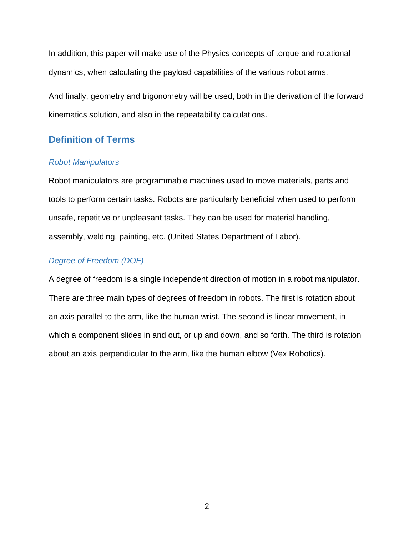In addition, this paper will make use of the Physics concepts of torque and rotational dynamics, when calculating the payload capabilities of the various robot arms.

And finally, geometry and trigonometry will be used, both in the derivation of the forward kinematics solution, and also in the repeatability calculations.

## <span id="page-4-0"></span>**Definition of Terms**

#### *Robot Manipulators*

Robot manipulators are programmable machines used to move materials, parts and tools to perform certain tasks. Robots are particularly beneficial when used to perform unsafe, repetitive or unpleasant tasks. They can be used for material handling, assembly, welding, painting, etc. (United States Department of Labor).

### *Degree of Freedom (DOF)*

A degree of freedom is a single independent direction of motion in a robot manipulator. There are three main types of degrees of freedom in robots. The first is rotation about an axis parallel to the arm, like the human wrist. The second is linear movement, in which a component slides in and out, or up and down, and so forth. The third is rotation about an axis perpendicular to the arm, like the human elbow (Vex Robotics).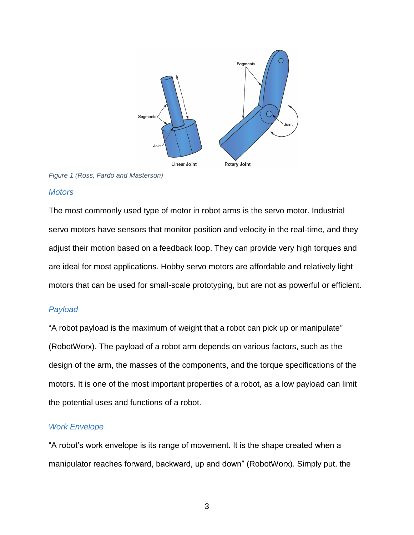

*Figure 1 (Ross, Fardo and Masterson)*

#### *Motors*

The most commonly used type of motor in robot arms is the servo motor. Industrial servo motors have sensors that monitor position and velocity in the real-time, and they adjust their motion based on a feedback loop. They can provide very high torques and are ideal for most applications. Hobby servo motors are affordable and relatively light motors that can be used for small-scale prototyping, but are not as powerful or efficient.

## *Payload*

"A robot payload is the maximum of weight that a robot can pick up or manipulate" (RobotWorx). The payload of a robot arm depends on various factors, such as the design of the arm, the masses of the components, and the torque specifications of the motors. It is one of the most important properties of a robot, as a low payload can limit the potential uses and functions of a robot.

### *Work Envelope*

"A robot's work envelope is its range of movement. It is the shape created when a manipulator reaches forward, backward, up and down" (RobotWorx). Simply put, the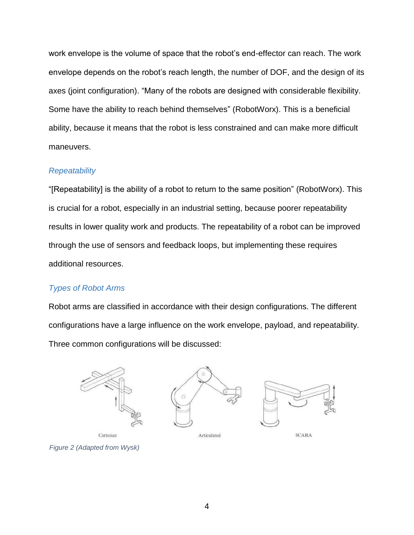work envelope is the volume of space that the robot's end-effector can reach. The work envelope depends on the robot's reach length, the number of DOF, and the design of its axes (joint configuration). "Many of the robots are designed with considerable flexibility. Some have the ability to reach behind themselves" (RobotWorx). This is a beneficial ability, because it means that the robot is less constrained and can make more difficult maneuvers.

#### *Repeatability*

"[Repeatability] is the ability of a robot to return to the same position" (RobotWorx). This is crucial for a robot, especially in an industrial setting, because poorer repeatability results in lower quality work and products. The repeatability of a robot can be improved through the use of sensors and feedback loops, but implementing these requires additional resources.

### *Types of Robot Arms*

Robot arms are classified in accordance with their design configurations. The different configurations have a large influence on the work envelope, payload, and repeatability. Three common configurations will be discussed:



*Figure 2 (Adapted from Wysk)*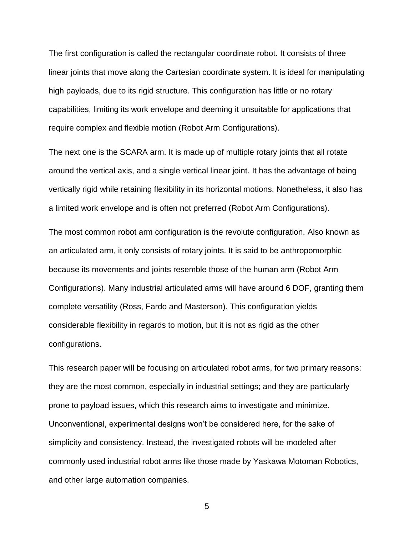The first configuration is called the rectangular coordinate robot. It consists of three linear joints that move along the Cartesian coordinate system. It is ideal for manipulating high payloads, due to its rigid structure. This configuration has little or no rotary capabilities, limiting its work envelope and deeming it unsuitable for applications that require complex and flexible motion (Robot Arm Configurations).

The next one is the SCARA arm. It is made up of multiple rotary joints that all rotate around the vertical axis, and a single vertical linear joint. It has the advantage of being vertically rigid while retaining flexibility in its horizontal motions. Nonetheless, it also has a limited work envelope and is often not preferred (Robot Arm Configurations).

The most common robot arm configuration is the revolute configuration. Also known as an articulated arm, it only consists of rotary joints. It is said to be anthropomorphic because its movements and joints resemble those of the human arm (Robot Arm Configurations). Many industrial articulated arms will have around 6 DOF, granting them complete versatility (Ross, Fardo and Masterson). This configuration yields considerable flexibility in regards to motion, but it is not as rigid as the other configurations.

This research paper will be focusing on articulated robot arms, for two primary reasons: they are the most common, especially in industrial settings; and they are particularly prone to payload issues, which this research aims to investigate and minimize. Unconventional, experimental designs won't be considered here, for the sake of simplicity and consistency. Instead, the investigated robots will be modeled after commonly used industrial robot arms like those made by Yaskawa Motoman Robotics, and other large automation companies.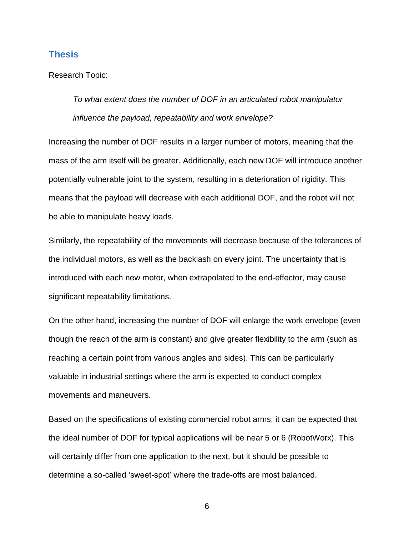#### <span id="page-8-0"></span>**Thesis**

Research Topic:

*To what extent does the number of DOF in an articulated robot manipulator influence the payload, repeatability and work envelope?*

Increasing the number of DOF results in a larger number of motors, meaning that the mass of the arm itself will be greater. Additionally, each new DOF will introduce another potentially vulnerable joint to the system, resulting in a deterioration of rigidity. This means that the payload will decrease with each additional DOF, and the robot will not be able to manipulate heavy loads.

Similarly, the repeatability of the movements will decrease because of the tolerances of the individual motors, as well as the backlash on every joint. The uncertainty that is introduced with each new motor, when extrapolated to the end-effector, may cause significant repeatability limitations.

On the other hand, increasing the number of DOF will enlarge the work envelope (even though the reach of the arm is constant) and give greater flexibility to the arm (such as reaching a certain point from various angles and sides). This can be particularly valuable in industrial settings where the arm is expected to conduct complex movements and maneuvers.

Based on the specifications of existing commercial robot arms, it can be expected that the ideal number of DOF for typical applications will be near 5 or 6 (RobotWorx). This will certainly differ from one application to the next, but it should be possible to determine a so-called 'sweet-spot' where the trade-offs are most balanced.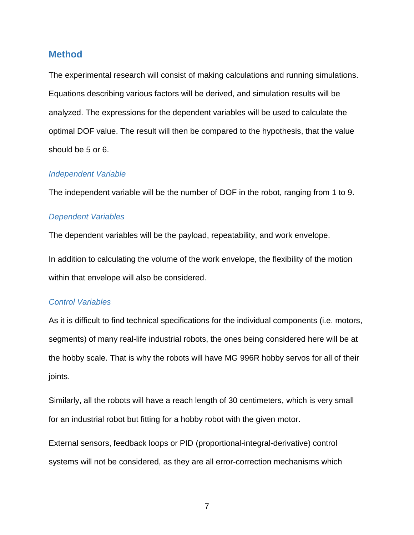#### <span id="page-9-0"></span>**Method**

The experimental research will consist of making calculations and running simulations. Equations describing various factors will be derived, and simulation results will be analyzed. The expressions for the dependent variables will be used to calculate the optimal DOF value. The result will then be compared to the hypothesis, that the value should be 5 or 6.

#### *Independent Variable*

The independent variable will be the number of DOF in the robot, ranging from 1 to 9.

#### *Dependent Variables*

The dependent variables will be the payload, repeatability, and work envelope.

In addition to calculating the volume of the work envelope, the flexibility of the motion within that envelope will also be considered.

#### *Control Variables*

As it is difficult to find technical specifications for the individual components (i.e. motors, segments) of many real-life industrial robots, the ones being considered here will be at the hobby scale. That is why the robots will have MG 996R hobby servos for all of their joints.

Similarly, all the robots will have a reach length of 30 centimeters, which is very small for an industrial robot but fitting for a hobby robot with the given motor.

External sensors, feedback loops or PID (proportional-integral-derivative) control systems will not be considered, as they are all error-correction mechanisms which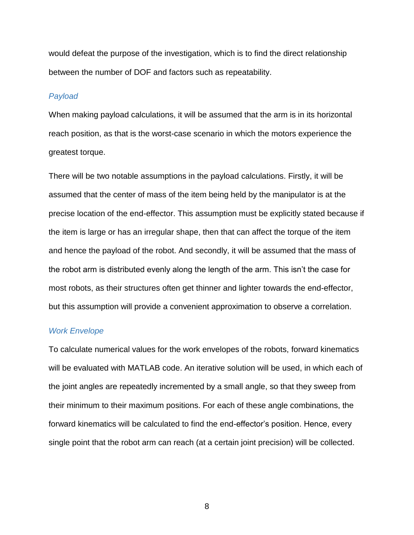would defeat the purpose of the investigation, which is to find the direct relationship between the number of DOF and factors such as repeatability.

#### *Payload*

When making payload calculations, it will be assumed that the arm is in its horizontal reach position, as that is the worst-case scenario in which the motors experience the greatest torque.

There will be two notable assumptions in the payload calculations. Firstly, it will be assumed that the center of mass of the item being held by the manipulator is at the precise location of the end-effector. This assumption must be explicitly stated because if the item is large or has an irregular shape, then that can affect the torque of the item and hence the payload of the robot. And secondly, it will be assumed that the mass of the robot arm is distributed evenly along the length of the arm. This isn't the case for most robots, as their structures often get thinner and lighter towards the end-effector, but this assumption will provide a convenient approximation to observe a correlation.

#### *Work Envelope*

To calculate numerical values for the work envelopes of the robots, forward kinematics will be evaluated with MATLAB code. An iterative solution will be used, in which each of the joint angles are repeatedly incremented by a small angle, so that they sweep from their minimum to their maximum positions. For each of these angle combinations, the forward kinematics will be calculated to find the end-effector's position. Hence, every single point that the robot arm can reach (at a certain joint precision) will be collected.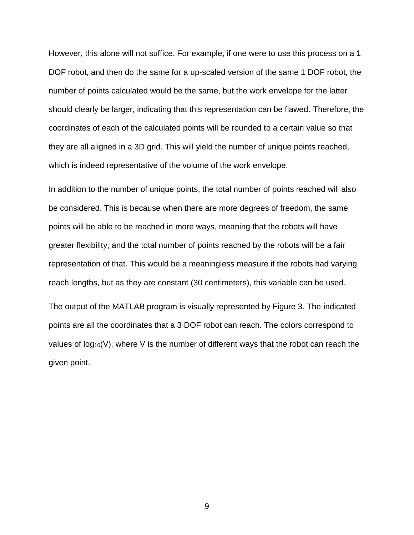However, this alone will not suffice. For example, if one were to use this process on a 1 DOF robot, and then do the same for a up-scaled version of the same 1 DOF robot, the number of points calculated would be the same, but the work envelope for the latter should clearly be larger, indicating that this representation can be flawed. Therefore, the coordinates of each of the calculated points will be rounded to a certain value so that they are all aligned in a 3D grid. This will yield the number of unique points reached, which is indeed representative of the volume of the work envelope.

In addition to the number of unique points, the total number of points reached will also be considered. This is because when there are more degrees of freedom, the same points will be able to be reached in more ways, meaning that the robots will have greater flexibility; and the total number of points reached by the robots will be a fair representation of that. This would be a meaningless measure if the robots had varying reach lengths, but as they are constant (30 centimeters), this variable can be used.

The output of the MATLAB program is visually represented by Figure 3. The indicated points are all the coordinates that a 3 DOF robot can reach. The colors correspond to values of  $log_{10}(V)$ , where V is the number of different ways that the robot can reach the given point.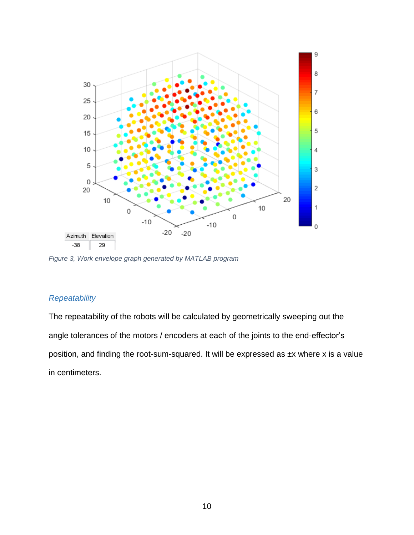

*Figure 3, Work envelope graph generated by MATLAB program*

## *Repeatability*

The repeatability of the robots will be calculated by geometrically sweeping out the angle tolerances of the motors / encoders at each of the joints to the end-effector's position, and finding the root-sum-squared. It will be expressed as ±x where x is a value in centimeters.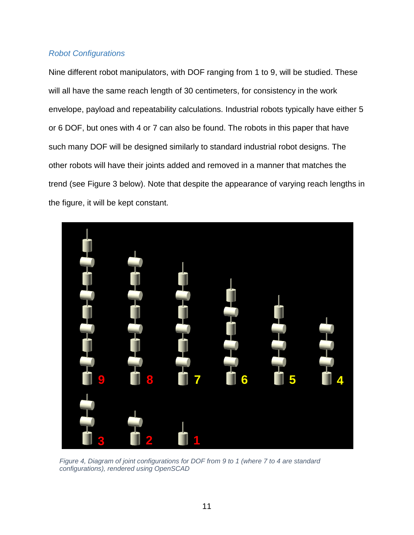### *Robot Configurations*

Nine different robot manipulators, with DOF ranging from 1 to 9, will be studied. These will all have the same reach length of 30 centimeters, for consistency in the work envelope, payload and repeatability calculations. Industrial robots typically have either 5 or 6 DOF, but ones with 4 or 7 can also be found. The robots in this paper that have such many DOF will be designed similarly to standard industrial robot designs. The other robots will have their joints added and removed in a manner that matches the trend (see Figure 3 below). Note that despite the appearance of varying reach lengths in the figure, it will be kept constant.



*Figure 4, Diagram of joint configurations for DOF from 9 to 1 (where 7 to 4 are standard configurations), rendered using OpenSCAD*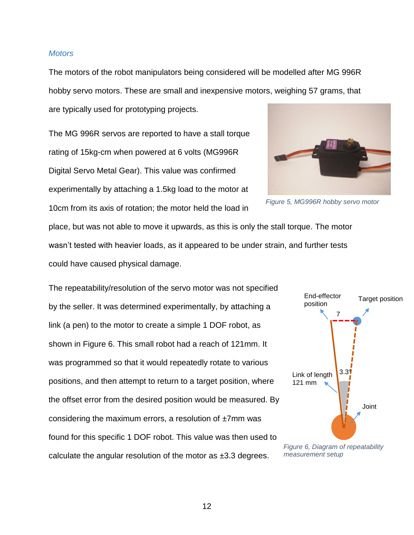#### *Motors*

The motors of the robot manipulators being considered will be modelled after MG 996R hobby servo motors. These are small and inexpensive motors, weighing 57 grams, that are typically used for prototyping projects.

The MG 996R servos are reported to have a stall torque rating of 15kg-cm when powered at 6 volts (MG996R Digital Servo Metal Gear). This value was confirmed experimentally by attaching a 1.5kg load to the motor at 10cm from its axis of rotation; the motor held the load in

*Figure 5, MG996R hobby servo motor*

place, but was not able to move it upwards, as this is only the stall torque. The motor wasn't tested with heavier loads, as it appeared to be under strain, and further tests could have caused physical damage.

The repeatability/resolution of the servo motor was not specified by the seller. It was determined experimentally, by attaching a link (a pen) to the motor to create a simple 1 DOF robot, as shown in Figure 6. This small robot had a reach of 121mm. It was programmed so that it would repeatedly rotate to various positions, and then attempt to return to a target position, where the offset error from the desired position would be measured. By considering the maximum errors, a resolution of  $\pm 7$ mm was found for this specific 1 DOF robot. This value was then used to calculate the angular resolution of the motor as ±3.3 degrees.



*Figure 6, Diagram of repeatability measurement setup*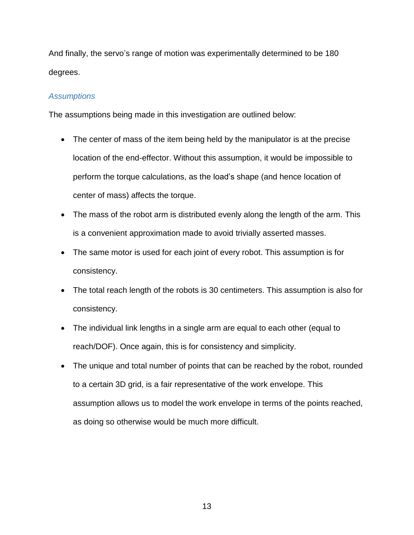And finally, the servo's range of motion was experimentally determined to be 180 degrees.

### *Assumptions*

The assumptions being made in this investigation are outlined below:

- The center of mass of the item being held by the manipulator is at the precise location of the end-effector. Without this assumption, it would be impossible to perform the torque calculations, as the load's shape (and hence location of center of mass) affects the torque.
- The mass of the robot arm is distributed evenly along the length of the arm. This is a convenient approximation made to avoid trivially asserted masses.
- The same motor is used for each joint of every robot. This assumption is for consistency.
- The total reach length of the robots is 30 centimeters. This assumption is also for consistency.
- The individual link lengths in a single arm are equal to each other (equal to reach/DOF). Once again, this is for consistency and simplicity.
- The unique and total number of points that can be reached by the robot, rounded to a certain 3D grid, is a fair representative of the work envelope. This assumption allows us to model the work envelope in terms of the points reached, as doing so otherwise would be much more difficult.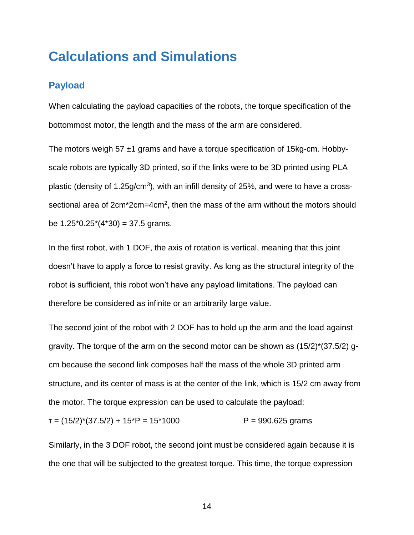## <span id="page-16-0"></span>**Calculations and Simulations**

## <span id="page-16-1"></span>**Payload**

When calculating the payload capacities of the robots, the torque specification of the bottommost motor, the length and the mass of the arm are considered.

The motors weigh 57  $\pm$ 1 grams and have a torque specification of 15kg-cm. Hobbyscale robots are typically 3D printed, so if the links were to be 3D printed using PLA plastic (density of 1.25g/cm<sup>3</sup>), with an infill density of 25%, and were to have a crosssectional area of 2cm\*2cm=4cm<sup>2</sup>, then the mass of the arm without the motors should be  $1.25^*0.25^*(4^*30) = 37.5$  grams.

In the first robot, with 1 DOF, the axis of rotation is vertical, meaning that this joint doesn't have to apply a force to resist gravity. As long as the structural integrity of the robot is sufficient, this robot won't have any payload limitations. The payload can therefore be considered as infinite or an arbitrarily large value.

The second joint of the robot with 2 DOF has to hold up the arm and the load against gravity. The torque of the arm on the second motor can be shown as  $(15/2)^*(37.5/2)$  qcm because the second link composes half the mass of the whole 3D printed arm structure, and its center of mass is at the center of the link, which is 15/2 cm away from the motor. The torque expression can be used to calculate the payload:

 $T = (15/2)^*(37.5/2) + 15^*P = 15^*1000$  P = 990.625 grams

Similarly, in the 3 DOF robot, the second joint must be considered again because it is the one that will be subjected to the greatest torque. This time, the torque expression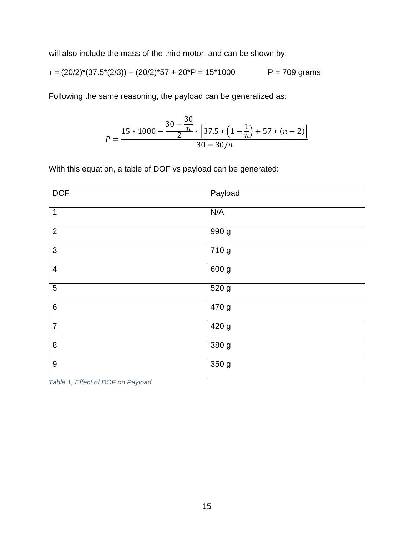will also include the mass of the third motor, and can be shown by:

$$
T = (20/2)^*(37.5^*(2/3)) + (20/2)^*57 + 20^*P = 15^*1000
$$
 P = 709 grams

Following the same reasoning, the payload can be generalized as:

$$
P = \frac{15 * 1000 - \frac{30 - \frac{30}{n}}{2} * [37.5 * (1 - \frac{1}{n}) + 57 * (n - 2)]}{30 - 30/n}
$$

With this equation, a table of DOF vs payload can be generated:

| <b>DOF</b>     | Payload            |
|----------------|--------------------|
| $\mathbf 1$    | N/A                |
| $\overline{2}$ | 990 g              |
| $\mathbf{3}$   | 710g               |
| $\overline{4}$ | 600 g              |
| $\sqrt{5}$     | 520 g              |
| $\,6\,$        | 470 g              |
| $\overline{7}$ | $\overline{420}$ g |
| $\bf 8$        | 380 g              |
| $9\,$          | 350g               |

*Table 1, Effect of DOF on Payload*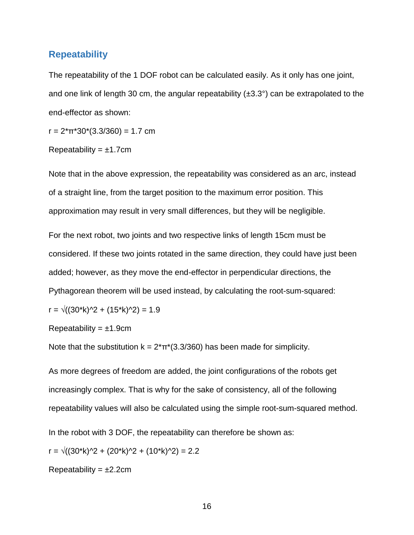### <span id="page-18-0"></span>**Repeatability**

The repeatability of the 1 DOF robot can be calculated easily. As it only has one joint, and one link of length 30 cm, the angular repeatability  $(\pm 3.3^{\circ})$  can be extrapolated to the end-effector as shown:

 $r = 2 \cdot \pi \cdot 30 \cdot (3.3/360) = 1.7$  cm

Repeatability =  $±1.7cm$ 

Note that in the above expression, the repeatability was considered as an arc, instead of a straight line, from the target position to the maximum error position. This approximation may result in very small differences, but they will be negligible.

For the next robot, two joints and two respective links of length 15cm must be considered. If these two joints rotated in the same direction, they could have just been added; however, as they move the end-effector in perpendicular directions, the Pythagorean theorem will be used instead, by calculating the root-sum-squared:

$$
r = \sqrt{((30^*k)^2 + (15^*k)^2)} = 1.9
$$

Repeatability =  $\pm$ 1.9cm

Note that the substitution  $k = 2^{*}\pi^{*}(3.3/360)$  has been made for simplicity.

As more degrees of freedom are added, the joint configurations of the robots get increasingly complex. That is why for the sake of consistency, all of the following repeatability values will also be calculated using the simple root-sum-squared method.

In the robot with 3 DOF, the repeatability can therefore be shown as:

 $r = \sqrt{(30^k)(2 + (20^k)(2) + (10^k)(2))} = 2.2$ 

Repeatability =  $\pm 2.2$ cm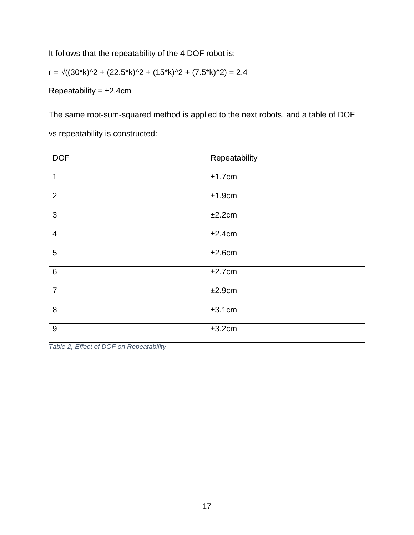It follows that the repeatability of the 4 DOF robot is:

 $r = \sqrt{(30^*k)^2 + (22.5^*k)^2 + (15^*k)^2 + (7.5^*k)^2} = 2.4$ 

Repeatability =  $\pm 2.4$ cm

The same root-sum-squared method is applied to the next robots, and a table of DOF

vs repeatability is constructed:

| <b>DOF</b>     | Repeatability |
|----------------|---------------|
| $\mathbf{1}$   | ±1.7cm        |
| $\overline{2}$ | ±1.9cm        |
| 3              | ±2.2cm        |
| $\overline{4}$ | ±2.4cm        |
| 5              | ±2.6cm        |
| $6\phantom{1}$ | ±2.7cm        |
| $\overline{7}$ | ±2.9cm        |
| 8              | ±3.1cm        |
| $9\,$          | ±3.2cm        |

*Table 2, Effect of DOF on Repeatability*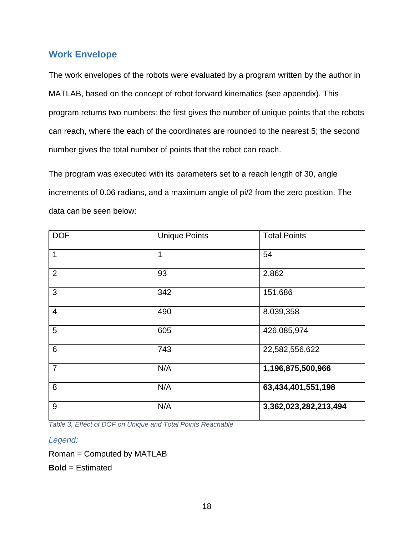## <span id="page-20-0"></span>**Work Envelope**

The work envelopes of the robots were evaluated by a program written by the author in MATLAB, based on the concept of robot forward kinematics (see appendix). This program returns two numbers: the first gives the number of unique points that the robots can reach, where the each of the coordinates are rounded to the nearest 5; the second number gives the total number of points that the robot can reach.

The program was executed with its parameters set to a reach length of 30, angle increments of 0.06 radians, and a maximum angle of pi/2 from the zero position. The data can be seen below:

| <b>DOF</b>      | <b>Unique Points</b> | <b>Total Points</b>   |
|-----------------|----------------------|-----------------------|
| $\mathbf{1}$    | 1                    | 54                    |
| $\overline{2}$  | 93                   | 2,862                 |
| 3               | 342                  | 151,686               |
| $\overline{4}$  | 490                  | 8,039,358             |
| $5\phantom{.0}$ | 605                  | 426,085,974           |
| 6               | 743                  | 22,582,556,622        |
| $\overline{7}$  | N/A                  | 1,196,875,500,966     |
| 8               | N/A                  | 63,434,401,551,198    |
| 9               | N/A                  | 3,362,023,282,213,494 |

*Table 3, Effect of DOF on Unique and Total Points Reachable*

#### *Legend:*

Roman = Computed by MATLAB

**Bold** = Estimated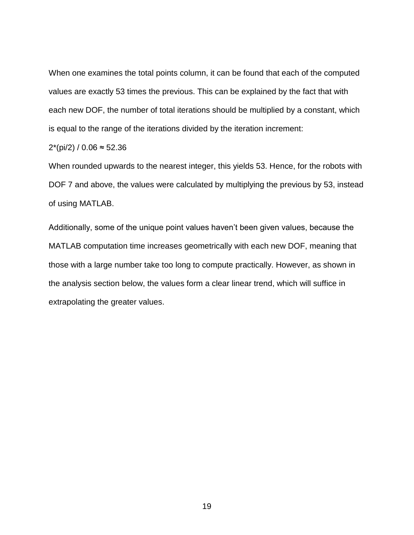When one examines the total points column, it can be found that each of the computed values are exactly 53 times the previous. This can be explained by the fact that with each new DOF, the number of total iterations should be multiplied by a constant, which is equal to the range of the iterations divided by the iteration increment:

#### 2<sup>\*</sup>(pi/2) / 0.06 ≈ 52.36

When rounded upwards to the nearest integer, this yields 53. Hence, for the robots with DOF 7 and above, the values were calculated by multiplying the previous by 53, instead of using MATLAB.

Additionally, some of the unique point values haven't been given values, because the MATLAB computation time increases geometrically with each new DOF, meaning that those with a large number take too long to compute practically. However, as shown in the analysis section below, the values form a clear linear trend, which will suffice in extrapolating the greater values.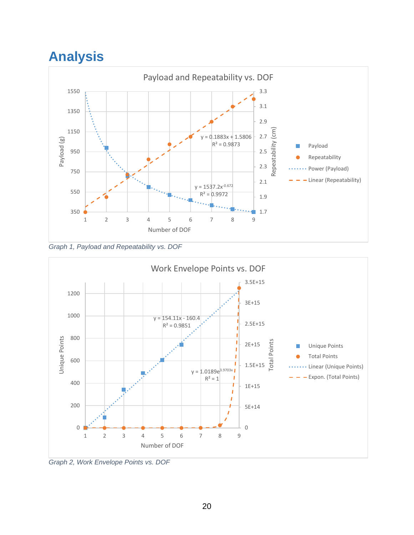## <span id="page-22-0"></span>**Analysis**







*Graph 2, Work Envelope Points vs. DOF*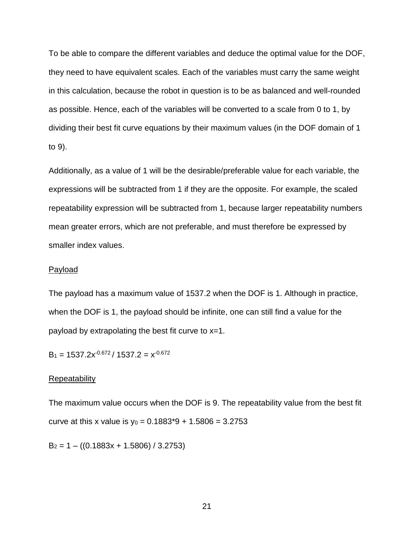To be able to compare the different variables and deduce the optimal value for the DOF, they need to have equivalent scales. Each of the variables must carry the same weight in this calculation, because the robot in question is to be as balanced and well-rounded as possible. Hence, each of the variables will be converted to a scale from 0 to 1, by dividing their best fit curve equations by their maximum values (in the DOF domain of 1 to 9).

Additionally, as a value of 1 will be the desirable/preferable value for each variable, the expressions will be subtracted from 1 if they are the opposite. For example, the scaled repeatability expression will be subtracted from 1, because larger repeatability numbers mean greater errors, which are not preferable, and must therefore be expressed by smaller index values.

#### Payload

The payload has a maximum value of 1537.2 when the DOF is 1. Although in practice, when the DOF is 1, the payload should be infinite, one can still find a value for the payload by extrapolating the best fit curve to x=1.

 $B_1 = 1537.2x^{-0.672}/1537.2 = x^{-0.672}$ 

#### **Repeatability**

The maximum value occurs when the DOF is 9. The repeatability value from the best fit curve at this x value is  $y_0 = 0.1883*9 + 1.5806 = 3.2753$ 

 $B_2 = 1 - ((0.1883x + 1.5806) / 3.2753)$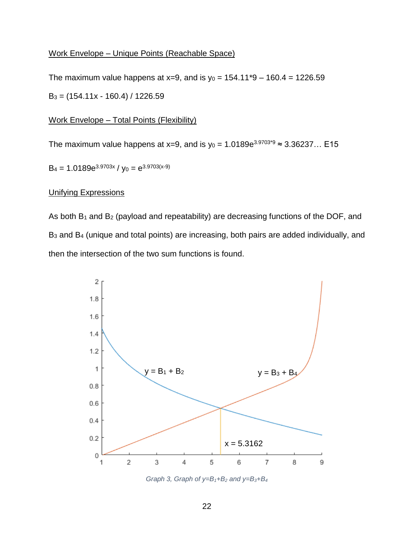#### Work Envelope – Unique Points (Reachable Space)

The maximum value happens at x=9, and is  $y_0 = 154.11*9 - 160.4 = 1226.59$  $B_3 = (154.11x - 160.4) / 1226.59$ 

#### Work Envelope – Total Points (Flexibility)

The maximum value happens at x=9, and is y<sub>0</sub> = 1.0189e<sup>3.9703\*9</sup> ≈ 3.36237... E15

 $B_4 = 1.0189e^{3.9703x} / y_0 = e^{3.9703(x-9)}$ 

#### Unifying Expressions

As both  $B_1$  and  $B_2$  (payload and repeatability) are decreasing functions of the DOF, and B<sup>3</sup> and B<sup>4</sup> (unique and total points) are increasing, both pairs are added individually, and then the intersection of the two sum functions is found.



*Graph 3, Graph of y=B1+B<sup>2</sup> and y=B3+B<sup>4</sup>*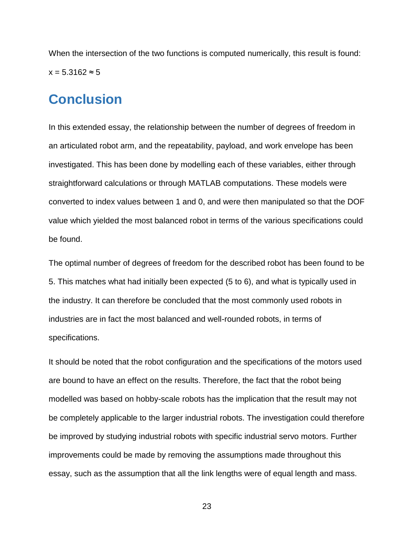When the intersection of the two functions is computed numerically, this result is found:  $x = 5.3162 \approx 5$ 

## <span id="page-25-0"></span>**Conclusion**

In this extended essay, the relationship between the number of degrees of freedom in an articulated robot arm, and the repeatability, payload, and work envelope has been investigated. This has been done by modelling each of these variables, either through straightforward calculations or through MATLAB computations. These models were converted to index values between 1 and 0, and were then manipulated so that the DOF value which yielded the most balanced robot in terms of the various specifications could be found.

The optimal number of degrees of freedom for the described robot has been found to be 5. This matches what had initially been expected (5 to 6), and what is typically used in the industry. It can therefore be concluded that the most commonly used robots in industries are in fact the most balanced and well-rounded robots, in terms of specifications.

It should be noted that the robot configuration and the specifications of the motors used are bound to have an effect on the results. Therefore, the fact that the robot being modelled was based on hobby-scale robots has the implication that the result may not be completely applicable to the larger industrial robots. The investigation could therefore be improved by studying industrial robots with specific industrial servo motors. Further improvements could be made by removing the assumptions made throughout this essay, such as the assumption that all the link lengths were of equal length and mass.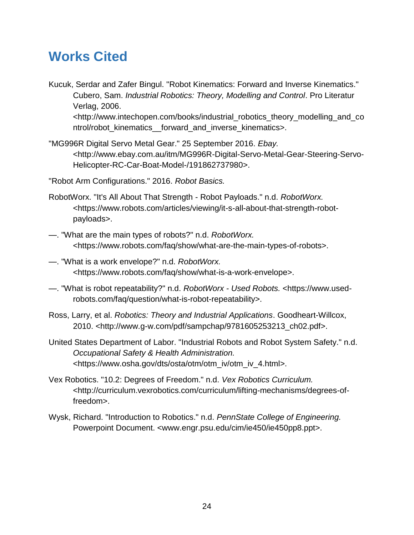## <span id="page-26-0"></span>**Works Cited**

- Kucuk, Serdar and Zafer Bingul. "Robot Kinematics: Forward and Inverse Kinematics." Cubero, Sam. *Industrial Robotics: Theory, Modelling and Control*. Pro Literatur Verlag, 2006. <http://www.intechopen.com/books/industrial\_robotics\_theory\_modelling\_and\_co ntrol/robot kinematics forward and inverse kinematics>.
- "MG996R Digital Servo Metal Gear." 25 September 2016. *Ebay.* <http://www.ebay.com.au/itm/MG996R-Digital-Servo-Metal-Gear-Steering-Servo-Helicopter-RC-Car-Boat-Model-/191862737980>.
- "Robot Arm Configurations." 2016. *Robot Basics.*
- RobotWorx. "It's All About That Strength Robot Payloads." n.d. *RobotWorx.* <https://www.robots.com/articles/viewing/it-s-all-about-that-strength-robotpayloads>.
- —. "What are the main types of robots?" n.d. *RobotWorx.* <https://www.robots.com/faq/show/what-are-the-main-types-of-robots>.
- —. "What is a work envelope?" n.d. *RobotWorx.* <https://www.robots.com/faq/show/what-is-a-work-envelope>.
- —. "What is robot repeatability?" n.d. *RobotWorx - Used Robots.* <https://www.usedrobots.com/faq/question/what-is-robot-repeatability>.
- Ross, Larry, et al. *Robotics: Theory and Industrial Applications*. Goodheart-Willcox, 2010. <http://www.g-w.com/pdf/sampchap/9781605253213\_ch02.pdf>.
- United States Department of Labor. "Industrial Robots and Robot System Safety." n.d. *Occupational Safety & Health Administration.* <https://www.osha.gov/dts/osta/otm/otm\_iv/otm\_iv\_4.html>.
- Vex Robotics. "10.2: Degrees of Freedom." n.d. *Vex Robotics Curriculum.* <http://curriculum.vexrobotics.com/curriculum/lifting-mechanisms/degrees-offreedom>.
- Wysk, Richard. "Introduction to Robotics." n.d. *PennState College of Engineering.* Powerpoint Document. <www.engr.psu.edu/cim/ie450/ie450pp8.ppt>.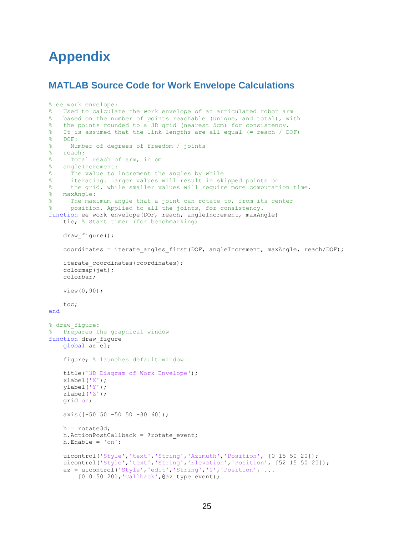## <span id="page-27-0"></span>**Appendix**

## <span id="page-27-1"></span>**MATLAB Source Code for Work Envelope Calculations**

```
% ee work envelope:
% Used to calculate the work envelope of an articulated robot arm
% based on the number of points reachable (unique, and total), with
% the points rounded to a 3D grid (nearest 5cm) for consistency.
% It is assumed that the link lengths are all equal (= reach / DOF)
% DOF:
% Number of degrees of freedom / joints
% reach:
% Total reach of arm, in cm
% angleIncrement:
% The value to increment the angles by while
% iterating. Larger values will result in skipped points on
% the grid, while smaller values will require more computation time.
% maxAngle:
% The maximum angle that a joint can rotate to, from its center
% position. Applied to all the joints, for consistency.
function ee_work_envelope(DOF, reach, angleIncrement, maxAngle)
    tic; % Start timer (for benchmarking) 
   draw figure();
   coordinates = iterate angles first(DOF, angleIncrement, maxAngle, reach/DOF);
   iterate coordinates(coordinates);
    colormap(jet);
    colorbar; 
    view(0,90);
     toc;
end
% draw figure:
% Prepares the graphical window
function draw_figure
    global az el;
     figure; % launches default window
    title('3D Diagram of Work Envelope');
    xlabel('X');
    ylabel('Y');
    zlabel('Z');
    grid on;
    axis([-50 50 -50 50 -30 60]);
    h = rotate3d;
   h.ActionPostCallback = @rotate event;
    h.Enable = 'on';
 uicontrol('Style','text','String','Azimuth','Position', [0 15 50 20]);
 uicontrol('Style','text','String','Elevation','Position', [52 15 50 20]);
     az = uicontrol('Style','edit','String','0','Position', ...
        [0 0 50 20], 'Callback', @az_type_event);
```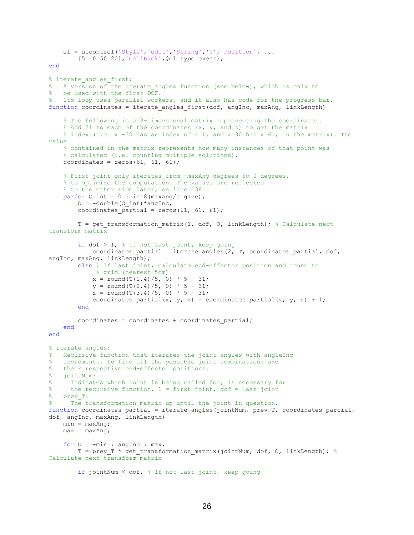```
 el = uicontrol('Style','edit','String','0','Position', ...
        [51 0 50 20], 'Callback', @el type event);
end
% iterate angles first:
% A version of the iterate angles function (see below), which is only to
% be used with the first DOF.
  Its loop uses parallel workers, and it also has code for the progress bar.
function coordinates = iterate angles first(dof, angInc, maxAng, linkLength)
     % The following is a 3-dimensional matrix representing the coordinates. 
    % Add 31 to each of the coordinates (x, y, z) and z) to get the matrix
     % index (i.e. x=-30 has an index of x=1, and x=30 has x=61, in the matrix). The 
value 
     % contained in the matrix represents how many instances of that point was 
     % calculated (i.e. counting multiple solutions).
   coordinates = zeros(61, 61, 61);
     % First joint only iterates from -maxAng degrees to 0 degrees,
     % to optimize the computation. The values are reflected
     % to the other side later, on line 138
   parfor 0 int = 0 : int8(maxAng/angInc),
        O = -double(O int)*angInc;
        coordinates partial = zeros(61, 61, 61);
       T = get transformation matrix(1, dof, O, linkLength); % Calculate next
transform matrix
         if dof > 1, % If not last joint, keep going
            coordinates partial = iterate angles(2, T, coordinates partial, dof,
angInc, maxAng, linkLength);
         else % If last joint, calculate end-effector position and round to
             % grid (nearest 5cm)
x = \text{round}(T(1, 4)/5, 0) * 5 + 31;y = round(T(2,4)/5, 0) * 5 + 31;
            z = \text{round}(T(3, 4)/5, 0) * 5 + 31;coordinates partial(x, y, z) = coordinates partial(x, y, z) + 1;
         end
        coordinates = coordinates + coordinates partial;
     end
end
% iterate angles:
% Recursive function that iterates the joint angles with angleInc
% increments, to find all the possible joint combinations and
% their respective end-effector positions.
\frac{2}{3} jointNum:<br>\frac{2}{3} Indicate
     Indicates which joint is being called for; is necessary for
% the recursive function. 1 = first joint, dof = last joint
% prev_T:
      The transformation matrix up until the joint in question.
function coordinates partial = iterate angles(jointNum, prev T, coordinates partial,
dof, angInc, maxAng, linkLength)
   min = maxAng;max = maxAng;for 0 = -min : angInc : max,
        T = prev_T * get_transformation_matrix(jointNum, dof, O, linkLength); % 
Calculate next transform matrix
```

```
 if jointNum < dof, % If not last joint, keep going
```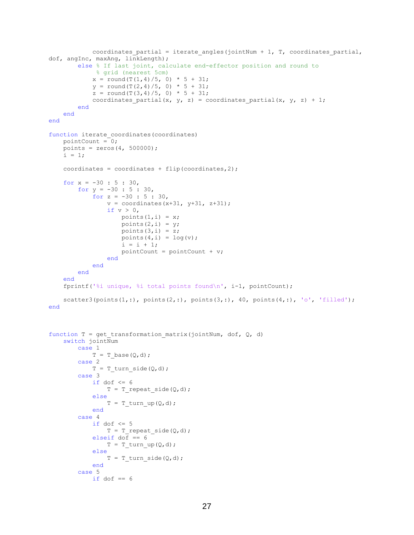```
coordinates partial = iterate angles(jointNum + 1, T, coordinates partial,
dof, angInc, maxAng, linkLength);
         else % If last joint, calculate end-effector position and round to
             % grid (nearest 5cm)
            x = \text{round}(T(1, 4)/5, 0) * 5 + 31;y = round(T(2,4)/5, 0) * 5 + 31;
            z = \text{round}(T(3, 4)/5, 0) * 5 + 31;coordinates partial(x, y, z) = coordinates partial(x, y, z) + 1;
         end
     end
end
function iterate coordinates(coordinates)
   pointCount = 0;points = zeros(4, 500000);
   i = 1;coordinates = coordinates + flip (coordinates, 2);
    for x = -30 : 5 : 30,
        for y = -30 : 5 : 30,
            for z = -30 : 5 : 30,
                v = coordinates (x+31, y+31, z+31);
                if v > 0,
                    points(1,i) = x;points(2,i) = y;points(3,i) = z;points(4,i) = log(v);i = i + 1;pointCount = pointCount + v; end
             end
         end
     end
    fprintf('%i unique, %i total points found\n', i-1, pointCount);
    scatter3(points(1,:), points(2,:), points(3,:), 40, points(4,:), 'o', 'filled');
end
function T = get transformation matrix(jointNum, dof, Q, d)
    switch jointNum
         case 1
            T = T base(Q, d);
         case 2
            T = T turn side(Q,d);
         case 3
            if dof \leq 6
                T = T repeat side(Q,d);
             else
                T = T turn up(Q,d);
             end
         case 4
            if dof \leq 5
                T = T_{repeated\_side(Q, d)};
            elseif dof == 6T = T_turn_up(Q,d); else
                T = T turn side(Q,d);
             end
         case 5
            if dof == 6
```